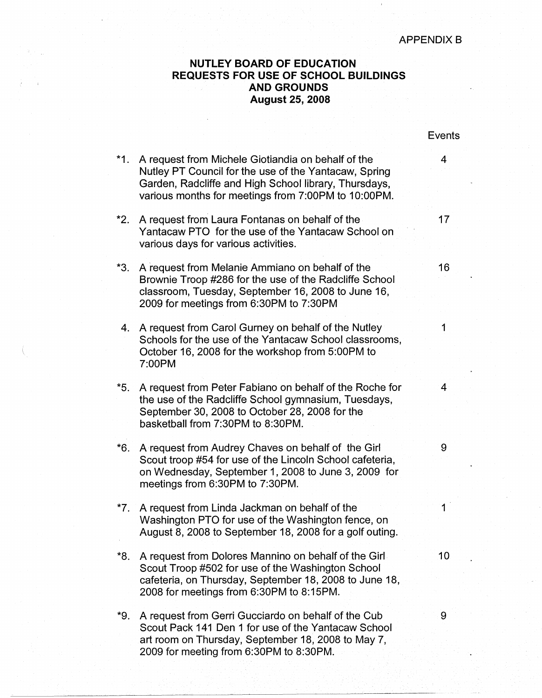## **NUTLEY BOARD OF EDUCATION REQUESTS FOR USE OF SCHOOL BUILDINGS AND GROUNDS August 25, 2008**

|       |                                                                                                                                                                                                                             | Events         |
|-------|-----------------------------------------------------------------------------------------------------------------------------------------------------------------------------------------------------------------------------|----------------|
| $*1.$ | A request from Michele Giotiandia on behalf of the<br>Nutley PT Council for the use of the Yantacaw, Spring<br>Garden, Radcliffe and High School library, Thursdays,<br>various months for meetings from 7:00PM to 10:00PM. | 4              |
| *2.   | A request from Laura Fontanas on behalf of the<br>Yantacaw PTO for the use of the Yantacaw School on<br>various days for various activities.                                                                                | 17             |
| $*3.$ | A request from Melanie Ammiano on behalf of the<br>Brownie Troop #286 for the use of the Radcliffe School<br>classroom, Tuesday, September 16, 2008 to June 16,<br>2009 for meetings from 6:30PM to 7:30PM                  | 16             |
| 4.    | A request from Carol Gurney on behalf of the Nutley<br>Schools for the use of the Yantacaw School classrooms,<br>October 16, 2008 for the workshop from 5:00PM to<br>7:00PM                                                 | 1              |
| *5.   | A request from Peter Fabiano on behalf of the Roche for<br>the use of the Radcliffe School gymnasium, Tuesdays,<br>September 30, 2008 to October 28, 2008 for the<br>basketball from 7:30PM to 8:30PM.                      | $\overline{4}$ |
| $*6.$ | A request from Audrey Chaves on behalf of the Girl<br>Scout troop #54 for use of the Lincoln School cafeteria,<br>on Wednesday, September 1, 2008 to June 3, 2009 for<br>meetings from 6:30PM to 7:30PM.                    | 9              |
| *7.   | A request from Linda Jackman on behalf of the<br>Washington PTO for use of the Washington fence, on<br>August 8, 2008 to September 18, 2008 for a golf outing.                                                              |                |
| *8.   | A request from Dolores Mannino on behalf of the Girl<br>Scout Troop #502 for use of the Washington School<br>cafeteria, on Thursday, September 18, 2008 to June 18,<br>2008 for meetings from 6:30PM to 8:15PM.             | 10             |
| *9.   | A request from Gerri Gucciardo on behalf of the Cub<br>Scout Pack 141 Den 1 for use of the Yantacaw School<br>art room on Thursday, September 18, 2008 to May 7,<br>2009 for meeting from 6:30PM to 8:30PM.                 | 9              |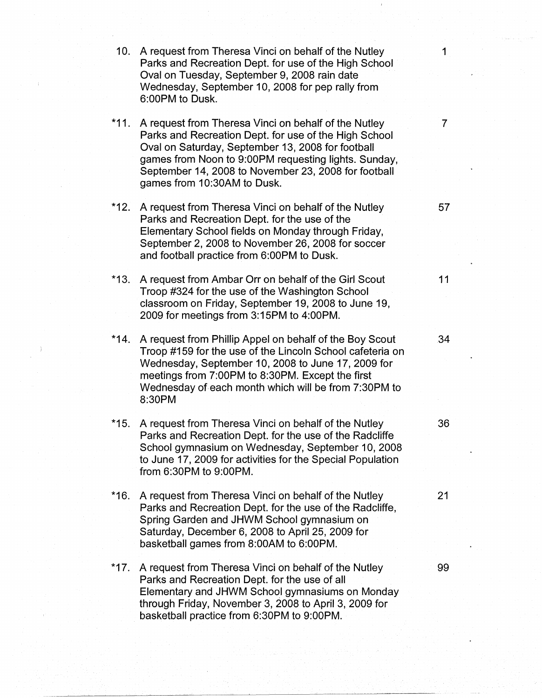| 10.    | A request from Theresa Vinci on behalf of the Nutley<br>Parks and Recreation Dept. for use of the High School<br>Oval on Tuesday, September 9, 2008 rain date<br>Wednesday, September 10, 2008 for pep rally from<br>6:00PM to Dusk.                                                                              | 1              |
|--------|-------------------------------------------------------------------------------------------------------------------------------------------------------------------------------------------------------------------------------------------------------------------------------------------------------------------|----------------|
| $*11.$ | A request from Theresa Vinci on behalf of the Nutley<br>Parks and Recreation Dept. for use of the High School<br>Oval on Saturday, September 13, 2008 for football<br>games from Noon to 9:00PM requesting lights. Sunday,<br>September 14, 2008 to November 23, 2008 for football<br>games from 10:30AM to Dusk. | $\overline{7}$ |
| $*12.$ | A request from Theresa Vinci on behalf of the Nutley<br>Parks and Recreation Dept. for the use of the<br>Elementary School fields on Monday through Friday,<br>September 2, 2008 to November 26, 2008 for soccer<br>and football practice from 6:00PM to Dusk.                                                    | 57             |
| *13.   | A request from Ambar Orr on behalf of the Girl Scout<br>Troop #324 for the use of the Washington School<br>classroom on Friday, September 19, 2008 to June 19,<br>2009 for meetings from 3:15PM to 4:00PM.                                                                                                        | 11             |
| $*14.$ | A request from Phillip Appel on behalf of the Boy Scout<br>Troop #159 for the use of the Lincoln School cafeteria on<br>Wednesday, September 10, 2008 to June 17, 2009 for<br>meetings from 7:00PM to 8:30PM. Except the first<br>Wednesday of each month which will be from 7:30PM to<br>8:30PM                  | 34             |
| *15.   | A request from Theresa Vinci on behalf of the Nutley<br>Parks and Recreation Dept. for the use of the Radcliffe<br>School gymnasium on Wednesday, September 10, 2008<br>to June 17, 2009 for activities for the Special Population<br>from 6:30PM to 9:00PM.                                                      | 36             |
| *16.   | A request from Theresa Vinci on behalf of the Nutley<br>Parks and Recreation Dept. for the use of the Radcliffe,<br>Spring Garden and JHWM School gymnasium on<br>Saturday, December 6, 2008 to April 25, 2009 for<br>basketball games from 8:00AM to 6:00PM.                                                     | 21             |
| $*17.$ | A request from Theresa Vinci on behalf of the Nutley<br>Parks and Recreation Dept. for the use of all<br>Elementary and JHWM School gymnasiums on Monday<br>through Friday, November 3, 2008 to April 3, 2009 for<br>basketball practice from 6:30PM to 9:00PM.                                                   | 99             |